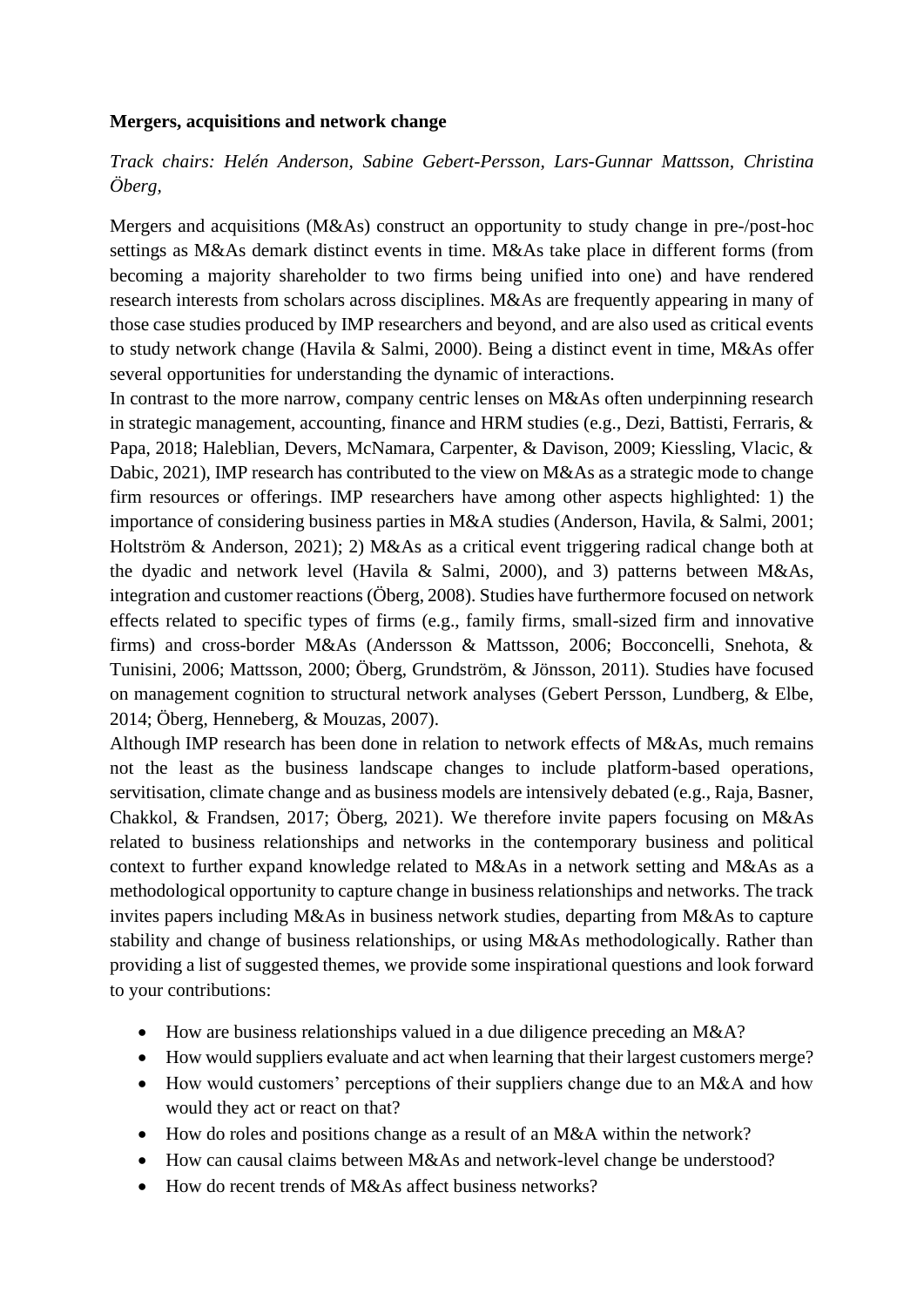## **Mergers, acquisitions and network change**

*Track chairs: Helén Anderson, Sabine Gebert-Persson, Lars-Gunnar Mattsson, Christina Öberg,* 

Mergers and acquisitions (M&As) construct an opportunity to study change in pre-/post-hoc settings as M&As demark distinct events in time. M&As take place in different forms (from becoming a majority shareholder to two firms being unified into one) and have rendered research interests from scholars across disciplines. M&As are frequently appearing in many of those case studies produced by IMP researchers and beyond, and are also used as critical events to study network change (Havila & Salmi, 2000). Being a distinct event in time, M&As offer several opportunities for understanding the dynamic of interactions.

In contrast to the more narrow, company centric lenses on M&As often underpinning research in strategic management, accounting, finance and HRM studies (e.g., Dezi, Battisti, Ferraris, & Papa, 2018; Haleblian, Devers, McNamara, Carpenter, & Davison, 2009; Kiessling, Vlacic, & Dabic, 2021), IMP research has contributed to the view on M&As as a strategic mode to change firm resources or offerings. IMP researchers have among other aspects highlighted: 1) the importance of considering business parties in M&A studies (Anderson, Havila, & Salmi, 2001; Holtström & Anderson, 2021); 2) M&As as a critical event triggering radical change both at the dyadic and network level (Havila & Salmi, 2000), and 3) patterns between M&As, integration and customer reactions (Öberg, 2008). Studies have furthermore focused on network effects related to specific types of firms (e.g., family firms, small-sized firm and innovative firms) and cross-border M&As (Andersson & Mattsson, 2006; Bocconcelli, Snehota, & Tunisini, 2006; Mattsson, 2000; Öberg, Grundström, & Jönsson, 2011). Studies have focused on management cognition to structural network analyses (Gebert Persson, Lundberg, & Elbe, 2014; Öberg, Henneberg, & Mouzas, 2007).

Although IMP research has been done in relation to network effects of M&As, much remains not the least as the business landscape changes to include platform-based operations, servitisation, climate change and as business models are intensively debated (e.g., Raja, Basner, Chakkol, & Frandsen, 2017; Öberg, 2021). We therefore invite papers focusing on M&As related to business relationships and networks in the contemporary business and political context to further expand knowledge related to M&As in a network setting and M&As as a methodological opportunity to capture change in business relationships and networks. The track invites papers including M&As in business network studies, departing from M&As to capture stability and change of business relationships, or using M&As methodologically. Rather than providing a list of suggested themes, we provide some inspirational questions and look forward to your contributions:

- How are business relationships valued in a due diligence preceding an M&A?
- How would suppliers evaluate and act when learning that their largest customers merge?
- How would customers' perceptions of their suppliers change due to an M&A and how would they act or react on that?
- How do roles and positions change as a result of an M&A within the network?
- How can causal claims between M&As and network-level change be understood?
- How do recent trends of  $M&$ As affect business networks?